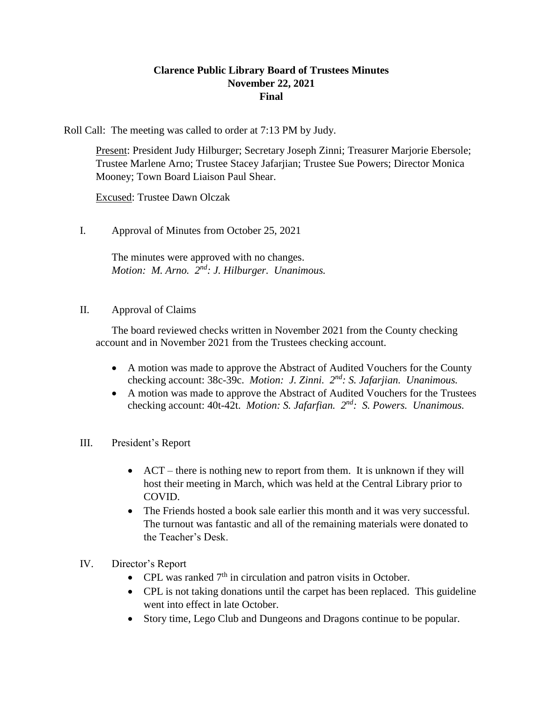## **Clarence Public Library Board of Trustees Minutes November 22, 2021 Final**

Roll Call: The meeting was called to order at 7:13 PM by Judy.

Present: President Judy Hilburger; Secretary Joseph Zinni; Treasurer Marjorie Ebersole; Trustee Marlene Arno; Trustee Stacey Jafarjian; Trustee Sue Powers; Director Monica Mooney; Town Board Liaison Paul Shear.

Excused: Trustee Dawn Olczak

I. Approval of Minutes from October 25, 2021

The minutes were approved with no changes. Motion: M. Arno. 2<sup>nd</sup>: J. Hilburger. Unanimous.

## II. Approval of Claims

The board reviewed checks written in November 2021 from the County checking account and in November 2021 from the Trustees checking account.

- A motion was made to approve the Abstract of Audited Vouchers for the County checking account: 38c-39c. *Motion: J. Zinni. 2nd: S. Jafarjian. Unanimous.*
- A motion was made to approve the Abstract of Audited Vouchers for the Trustees checking account: 40t-42t. *Motion: S. Jafarfian.* 2<sup>nd</sup>: S. Powers. Unanimous.
- III. President's Report
	- ACT there is nothing new to report from them. It is unknown if they will host their meeting in March, which was held at the Central Library prior to COVID.
	- The Friends hosted a book sale earlier this month and it was very successful. The turnout was fantastic and all of the remaining materials were donated to the Teacher's Desk.
- IV. Director's Report
	- CPL was ranked  $7<sup>th</sup>$  in circulation and patron visits in October.
	- CPL is not taking donations until the carpet has been replaced. This guideline went into effect in late October.
	- Story time, Lego Club and Dungeons and Dragons continue to be popular.